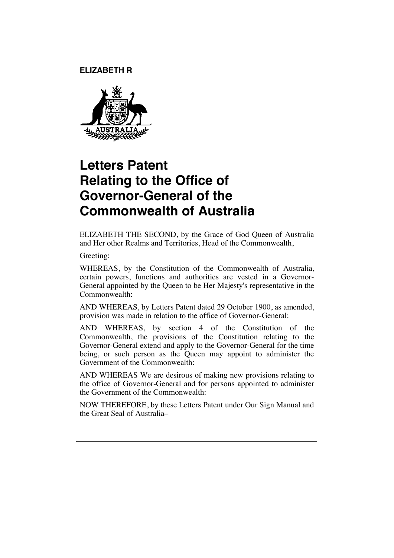**ELIZABETH R** 



## **Letters Patent Relating to the Office of Governor-General of the Commonwealth of Australia**

ELIZABETH THE SECOND, by the Grace of God Queen of Australia and Her other Realms and Territories, Head of the Commonwealth,

Greeting:

WHEREAS, by the Constitution of the Commonwealth of Australia, certain powers, functions and authorities are vested in a Governor-General appointed by the Queen to be Her Majesty's representative in the Commonwealth:

AND WHEREAS, by Letters Patent dated 29 October 1900, as amended, provision was made in relation to the office of Governor-General:

AND WHEREAS, by section 4 of the Constitution of the Commonwealth, the provisions of the Constitution relating to the Governor-General extend and apply to the Governor-General for the time being, or such person as the Queen may appoint to administer the Government of the Commonwealth:

AND WHEREAS We are desirous of making new provisions relating to the office of Governor-General and for persons appointed to administer the Government of the Commonwealth:

NOW THEREFORE, by these Letters Patent under Our Sign Manual and the Great Seal of Australia–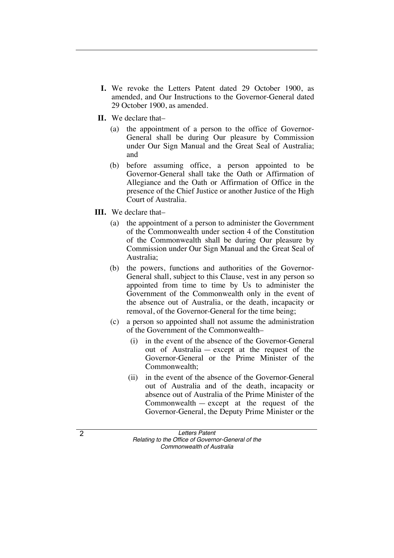- **I.** We revoke the Letters Patent dated 29 October 1900, as amended, and Our Instructions to the Governor-General dated 29 October 1900, as amended.
- **II.** We declare that–
	- (a) the appointment of a person to the office of Governor-General shall be during Our pleasure by Commission under Our Sign Manual and the Great Seal of Australia; and
	- (b) before assuming office, a person appointed to be Governor-General shall take the Oath or Affirmation of Allegiance and the Oath or Affirmation of Office in the presence of the Chief Justice or another Justice of the High Court of Australia.
- **III.** We declare that–
	- (a) the appointment of a person to administer the Government of the Commonwealth under section 4 of the Constitution of the Commonwealth shall be during Our pleasure by Commission under Our Sign Manual and the Great Seal of Australia;
	- (b) the powers, functions and authorities of the Governor-General shall, subject to this Clause, vest in any person so appointed from time to time by Us to administer the Government of the Commonwealth only in the event of the absence out of Australia, or the death, incapacity or removal, of the Governor-General for the time being;
	- (c) a person so appointed shall not assume the administration of the Government of the Commonwealth–
		- (i) in the event of the absence of the Governor-General out of Australia — except at the request of the Governor-General or the Prime Minister of the Commonwealth;
		- (ii) in the event of the absence of the Governor-General out of Australia and of the death, incapacity or absence out of Australia of the Prime Minister of the Commonwealth — except at the request of the Governor-General, the Deputy Prime Minister or the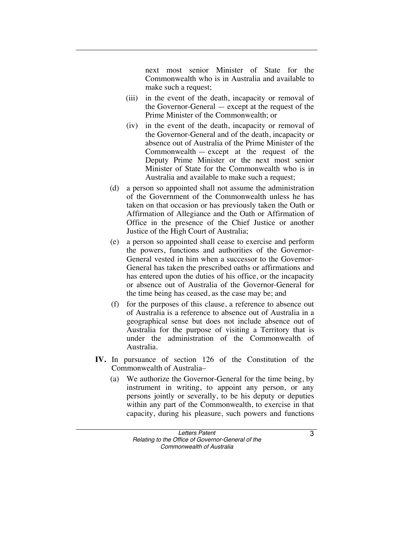next most senior Minister of State for the Commonwealth who is in Australia and available to make such a request;

- (iii) in the event of the death, incapacity or removal of the Governor-General — except at the request of the Prime Minister of the Commonwealth; or
- (iv) in the event of the death, incapacity or removal of the Governor-General and of the death, incapacity or absence out of Australia of the Prime Minister of the Commonwealth — except at the request of the Deputy Prime Minister or the next most senior Minister of State for the Commonwealth who is in Australia and available to make such a request;
- (d) a person so appointed shall not assume the administration of the Government of the Commonwealth unless he has taken on that occasion or has previously taken the Oath or Affirmation of Allegiance and the Oath or Affirmation of Office in the presence of the Chief Justice or another Justice of the High Court of Australia;
- (e) a person so appointed shall cease to exercise and perform the powers, functions and authorities of the Governor-General vested in him when a successor to the Governor-General has taken the prescribed oaths or affirmations and has entered upon the duties of his office, or the incapacity or absence out of Australia of the Governor-General for the time being has ceased, as the case may be; and
- (f) for the purposes of this clause, a reference to absence out of Australia is a reference to absence out of Australia in a geographical sense but does not include absence out of Australia for the purpose of visiting a Territory that is under the administration of the Commonwealth of Australia.
- **IV.** In pursuance of section 126 of the Constitution of the Commonwealth of Australia–
	- (a) We authorize the Governor-General for the time being, by instrument in writing, to appoint any person, or any persons jointly or severally, to be his deputy or deputies within any part of the Commonwealth, to exercise in that capacity, during his pleasure, such powers and functions

3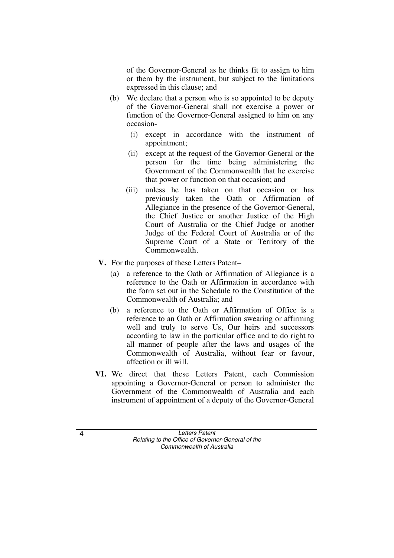of the Governor-General as he thinks fit to assign to him or them by the instrument, but subject to the limitations expressed in this clause; and

- (b) We declare that a person who is so appointed to be deputy of the Governor-General shall not exercise a power or function of the Governor-General assigned to him on any occasion-
	- (i) except in accordance with the instrument of appointment;
	- (ii) except at the request of the Governor-General or the person for the time being administering the Government of the Commonwealth that he exercise that power or function on that occasion; and
	- (iii) unless he has taken on that occasion or has previously taken the Oath or Affirmation of Allegiance in the presence of the Governor-General, the Chief Justice or another Justice of the High Court of Australia or the Chief Judge or another Judge of the Federal Court of Australia or of the Supreme Court of a State or Territory of the Commonwealth.
- **V.** For the purposes of these Letters Patent–
	- (a) a reference to the Oath or Affirmation of Allegiance is a reference to the Oath or Affirmation in accordance with the form set out in the Schedule to the Constitution of the Commonwealth of Australia; and
	- (b) a reference to the Oath or Affirmation of Office is a reference to an Oath or Affirmation swearing or affirming well and truly to serve Us, Our heirs and successors according to law in the particular office and to do right to all manner of people after the laws and usages of the Commonwealth of Australia, without fear or favour, affection or ill will.
- **VI.** We direct that these Letters Patent, each Commission appointing a Governor-General or person to administer the Government of the Commonwealth of Australia and each instrument of appointment of a deputy of the Governor-General

4 *Letters Patent Relating to the Office of Governor-General of the Commonwealth of Australia*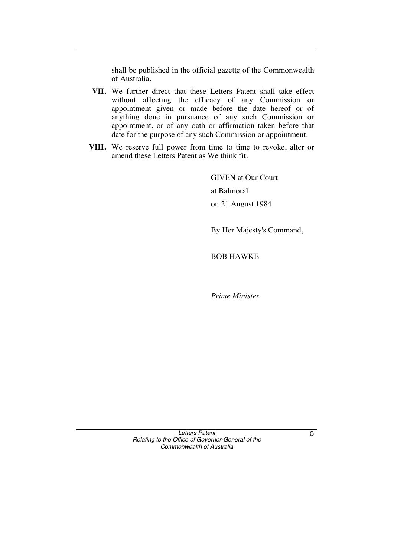shall be published in the official gazette of the Commonwealth of Australia.

- **VII.** We further direct that these Letters Patent shall take effect without affecting the efficacy of any Commission or appointment given or made before the date hereof or of anything done in pursuance of any such Commission or appointment, or of any oath or affirmation taken before that date for the purpose of any such Commission or appointment.
- **VIII.** We reserve full power from time to time to revoke, alter or amend these Letters Patent as We think fit.

GIVEN at Our Court at Balmoral on 21 August 1984

By Her Majesty's Command,

BOB HAWKE

*Prime Minister* 

*Letters Patent Relating to the Office of Governor-General of the Commonwealth of Australia* 

5